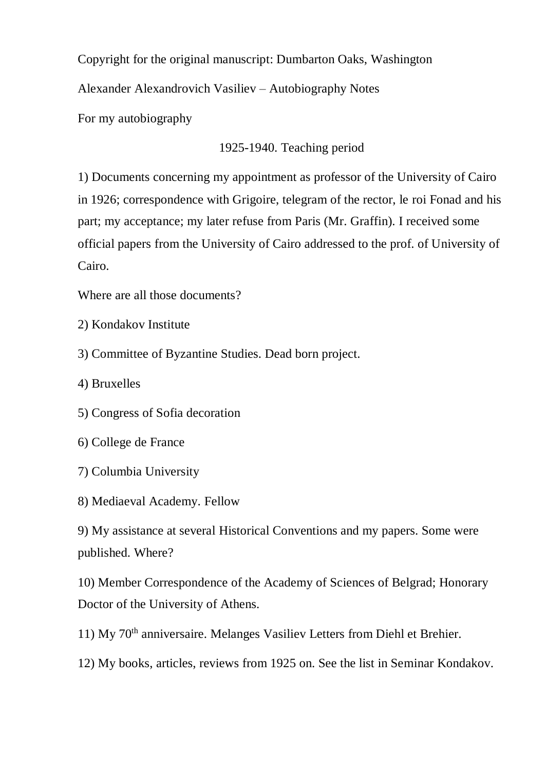Copyright for the original manuscript: Dumbarton Oaks, Washington

Alexander Alexandrovich Vasiliev – Autobiography Notes

For my autobiography

# 1925-1940. Teaching period

1) Documents concerning my appointment as professor of the University of Cairo in 1926; correspondence with Grigoire, telegram of the rector, le roi Fonad and his part; my acceptance; my later refuse from Paris (Mr. Graffin). I received some official papers from the University of Cairo addressed to the prof. of University of Cairo.

Where are all those documents?

- 2) Kondakov Institute
- 3) Committee of Byzantine Studies. Dead born project.
- 4) Bruxelles
- 5) Congress of Sofia decoration
- 6) College de France
- 7) Columbia University
- 8) Mediaeval Academy. Fellow

9) My assistance at several Historical Conventions and my papers. Some were published. Where?

10) Member Correspondence of the Academy of Sciences of Belgrad; Honorary Doctor of the University of Athens.

11) My 70th anniversaire. Melanges Vasiliev Letters from Diehl et Brehier.

12) My books, articles, reviews from 1925 on. See the list in Seminar Kondakov.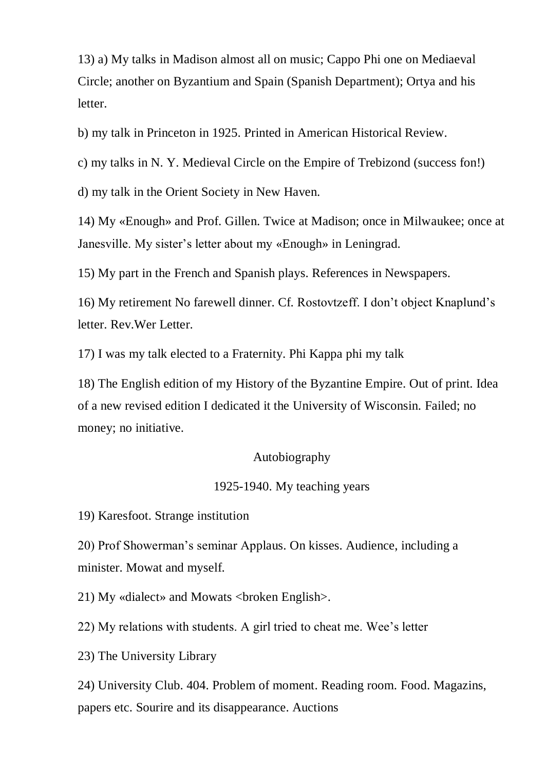13) a) My talks in Madison almost all on music; Cappo Phi one on Mediaeval Circle; another on Byzantium and Spain (Spanish Department); Ortya and his letter.

b) my talk in Princeton in 1925. Printed in American Historical Review.

c) my talks in N. Y. Medieval Circle on the Empire of Trebizond (success fon!)

d) my talk in the Orient Society in New Haven.

14) My «Enough» and Prof. Gillen. Twice at Madison; once in Milwaukee; once at Janesville. My sister's letter about my «Enough» in Leningrad.

15) My part in the French and Spanish plays. References in Newspapers.

16) My retirement No farewell dinner. Cf. Rostovtzeff. I don't object Knaplund's letter. Rev.Wer Letter.

17) I was my talk elected to a Fraternity. Phi Kappa phi my talk

18) The English edition of my History of the Byzantine Empire. Out of print. Idea of a new revised edition I dedicated it the University of Wisconsin. Failed; no money; no initiative.

### Autobiography

### 1925-1940. My teaching years

19) Karesfoot. Strange institution

20) Prof Showerman's seminar Applaus. On kisses. Audience, including a minister. Mowat and myself.

21) My «dialect» and Mowats <br/>broken English>.

22) My relations with students. A girl tried to cheat me. Wee's letter

23) The University Library

24) University Club. 404. Problem of moment. Reading room. Food. Magazins, papers etc. Sourire and its disappearance. Auctions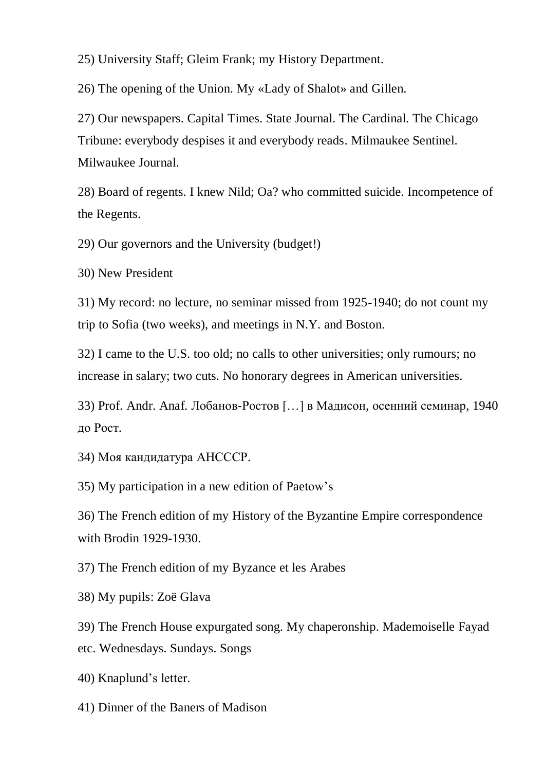25) University Staff; Gleim Frank; my History Department.

26) The opening of the Union. My «Lady of Shalot» and Gillen.

27) Our newspapers. Capital Times. State Journal. The Cardinal. The Chicago Tribune: everybody despises it and everybody reads. Milmaukee Sentinel. Milwaukee Journal.

28) Board of regents. I knew Nild; Oa? who committed suicide. Incompetence of the Regents.

29) Our governors and the University (budget!)

30) New President

31) My record: no lecture, no seminar missed from 1925-1940; do not count my trip to Sofia (two weeks), and meetings in N.Y. and Boston.

32) I came to the U.S. too old; no calls to other universities; only rumours; no increase in salary; two cuts. No honorary degrees in American universities.

33) Prof. Andr. Anaf. Лобанов-Ростов […] в Мaдисон, осенний семинар, 1940 до Рост.

34) Моя кандидатура АНСССР.

35) My participation in a new edition of Paetow's

36) The French edition of my History of the Byzantine Empire correspondence with Brodin 1929-1930.

37) The French edition of my Byzance et les Arabes

38) My pupils: Zoë Glava

39) The French House expurgated song. My chaperonship. Mademoiselle Fayad etc. Wednesdays. Sundays. Songs

40) Knaplund's letter.

41) Dinner of the Baners of Madison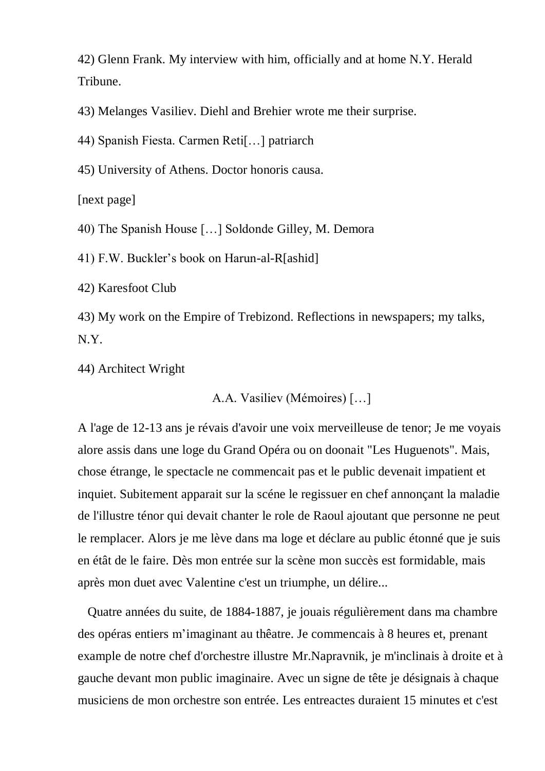42) Glenn Frank. My interview with him, officially and at home N.Y. Herald Tribune.

43) Melanges Vasiliev. Diehl and Brehier wrote me their surprise.

44) Spanish Fiesta. Carmen Reti[…] patriarch

45) University of Athens. Doctor honoris causa.

[next page]

40) The Spanish House […] Soldonde Gilley, M. Demora

41) F.W. Buckler's book on Harun-al-R[ashid]

42) Karesfoot Club

43) My work on the Empire of Trebizond. Reflections in newspapers; my talks, N.Y.

44) Architect Wright

A.A. Vasiliev (Mémoires) […]

A l'age de 12-13 ans je révais d'avoir une voix merveilleuse de tenor; Je me voyais alore assis dans une loge du Grand Opéra ou on doonait "Les Huguenots". Mais, chose étrange, le spectacle ne commencait pas et le public devenait impatient et inquiet. Subitement apparait sur la scéne le regissuer en chef annonçant la maladie de l'illustre ténor qui devait chanter le role de Raoul ajoutant que personne ne peut le remplacer. Alors je me lève dans ma loge et déclare au public étonné que je suis en étât de le faire. Dès mon entrée sur la scène mon succès est formidable, mais après mon duet avec Valentine c'est un triumphe, un délire...

 Quatre années du suite, de 1884-1887, je jouais régulièrement dans ma chambre des opéras entiers m'imaginant au thêatre. Je commencais à 8 heures et, prenant example de notre chef d'orchestre illustre Mr.Napravnik, je m'inclinais à droite et à gauche devant mon public imaginaire. Avec un signe de tête je désignais à chaque musiciens de mon orchestre son entrée. Les entreactes duraient 15 minutes et c'est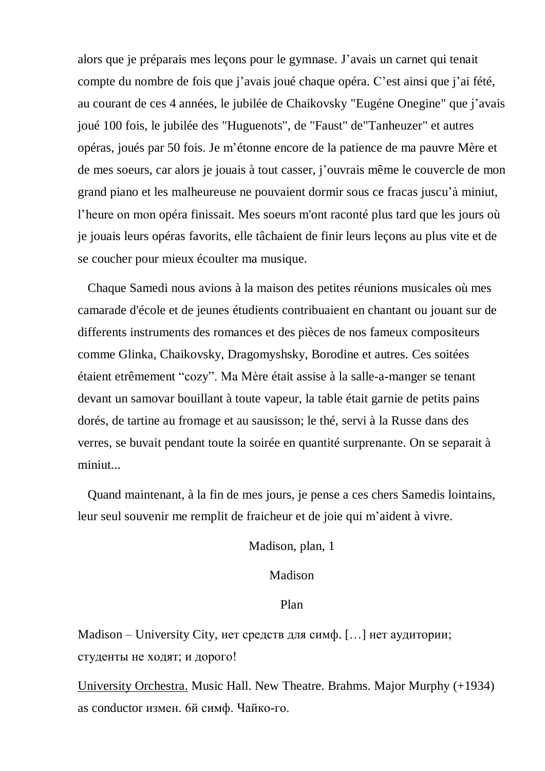alors que je préparais mes leçons pour le gymnase. J'avais un carnet qui tenait compte du nombre de fois que j'avais joué chaque opéra. C'est ainsi que j'ai fété, au courant de ces 4 années, le jubilée de Chaikovsky "Eugéne Onegine" que j'avais joué 100 fois, le jubilée des "Huguenots", de "Faust" de"Tanheuzer" et autres opéras, joués par 50 fois. Je m'étonne encore de la patience de ma pauvre Mère et de mes soeurs, car alors je jouais à tout casser, j'ouvrais même le couvercle de mon grand piano et les malheureuse ne pouvaient dormir sous ce fracas juscu'à miniut, l'heure on mon opéra finissait. Mes soeurs m'ont raconté plus tard que les jours où je jouais leurs opéras favorits, elle tâchaient de finir leurs leçons au plus vite et de se coucher pour mieux écoulter ma musique.

 Chaque Samedi nous avions à la maison des petites réunions musicales où mes camarade d'école et de jeunes étudients contribuaient en chantant ou jouant sur de differents instruments des romances et des pièces de nos fameux compositeurs comme Glinka, Chaikovsky, Dragomyshsky, Borodine et autres. Ces soitées étaient etrêmement "cozy". Ma Mère était assise à la salle-a-manger se tenant devant un samovar bouillant à toute vapeur, la table était garnie de petits pains dorés, de tartine au fromage et au sausisson; le thé, servi à la Russe dans des verres, se buvait pendant toute la soirée en quantité surprenante. On se separait à miniut...

 Quand maintenant, à la fin de mes jours, je pense a ces chers Samedis lointains, leur seul souvenir me remplit de fraicheur et de joie qui m'aident à vivre.

Madison, plan, 1

Madison

Plan

Madison – University City, нет средств для симф. [...] нет аудитории; студенты не ходят; и дорого!

University Orchestra. Music Hall. New Theatre. Brahms. Major Murphy (+1934) as conductor измен. 6й симф. Чайко-го.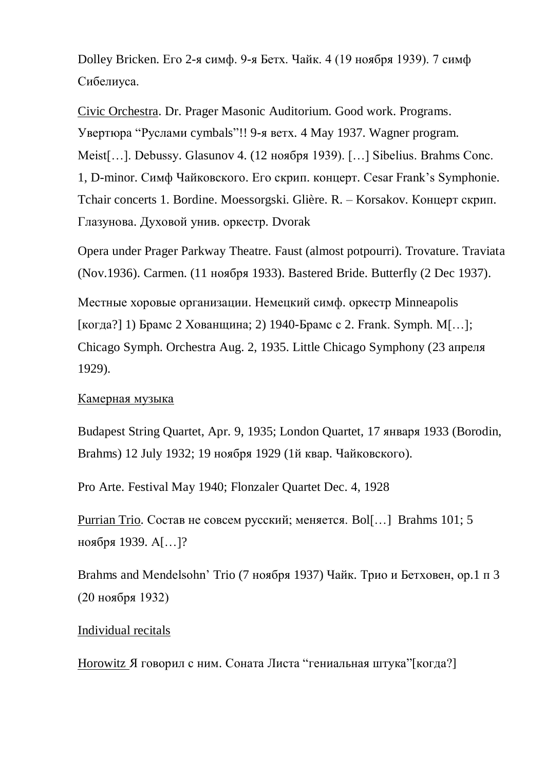Dolley Bricken. Его 2-я симф. 9-я Бетх. Чайк. 4 (19 ноября 1939). 7 симф Сибелиуса.

Civic Orchestra. Dr. Prager Masonic Auditorium. Good work. Programs. Увертюра "Руслами cymbals"!! 9-я ветх. 4 May 1937. Wagner program. Meist[…]. Debussy. Glasunov 4. (12 ноября 1939). […] Sibelius. Brahms Conc. 1, D-minor. Симф Чайковского. Его скрип. концерт. Cesar Frank's Symphonie. Tchair concerts 1. Bordine. Moessorgski. Glière. R. – Korsakov. Концерт скрип. Глазунова. Духовой унив. оркестр. Dvorak

Opera under Prager Parkway Theatre. Faust (almost potpourri). Trovature. Traviata (Nov.1936). Carmen. (11 ноября 1933). Bastered Bride. Butterfly (2 Dec 1937).

Местные хоровые организации. Немецкий симф. оркестр Minneapolis [когда?] 1) Брамс 2 Хованщина; 2) 1940-Брамс с 2. Frank. Symph. M[…]; Chicago Symph. Orchestra Aug. 2, 1935. Little Chicago Symphony (23 апреля 1929).

#### Камерная музыка

Budapest String Quartet, Apr. 9, 1935; London Quartet, 17 января 1933 (Borodin, Brahms) 12 July 1932; 19 ноября 1929 (1й квар. Чайковского).

Pro Arte. Festival May 1940; Flonzaler Quartet Dec. 4, 1928

Purrian Trio. Состав не совсем русский; меняется. Bol[…] Brahms 101; 5 ноября 1939. А[…]?

Brahms and Mendelsohn' Trio (7 ноября 1937) Чайк. Трио и Бетховен, ор.1 п 3 (20 ноября 1932)

#### Individual recitals

Horowitz Я говорил с ним. Соната Листа "гениальная штука"[когда?]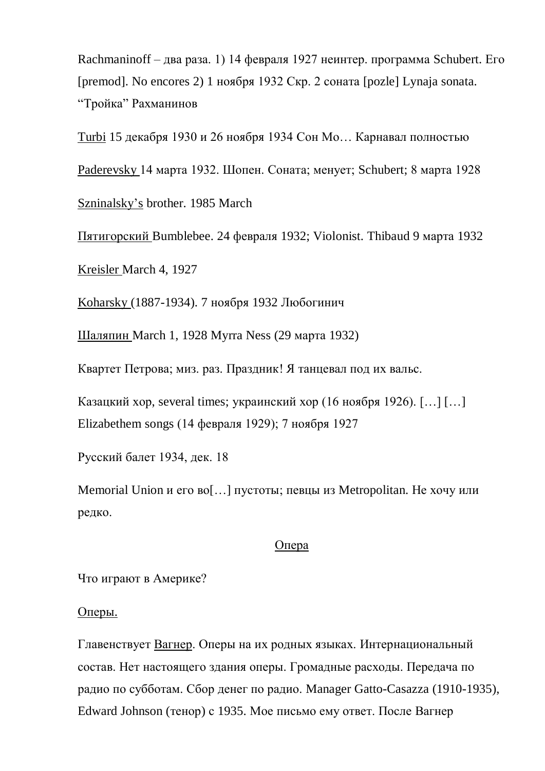Rachmaninoff – два раза. 1) 14 февраля 1927 неинтер. программа Schubert. Его [premod]. No encores 2) 1 ноября 1932 Скр. 2 соната [pozle] Lynaja sonata. "Тройка" Рахманинов

Turbi 15 декабря 1930 и 26 ноября 1934 Сон Мо… Карнавал полностью

Paderevsky 14 марта 1932. Шопен. Соната; менует; Schubert; 8 марта 1928

Szninalsky's brother. 1985 March

Пятигорский Bumblebee. 24 февраля 1932; Violonist. Thibaud 9 марта 1932

Kreisler March 4, 1927

Koharsky (1887-1934). 7 ноября 1932 Любогинич

Шаляпин March 1, 1928 Myrra Ness (29 марта 1932)

Квартет Петрова; миз. раз. Праздник! Я танцевал под их вальс.

Казацкий хор, several times; украинский хор (16 ноября 1926). [...] [...] Elizabethem songs (14 февраля 1929); 7 ноября 1927

Русский балет 1934, дек. 18

Memorial Union и его во[…] пустоты; певцы из Metropolitan. Не хочу или редко.

### Опера

Что играют в Америке?

Оперы.

Главенствует Вагнер. Оперы на их родных языках. Интернациональный состав. Нет настоящего здания оперы. Громадные расходы. Передача по радио по субботам. Сбор денег по радио. Manager Gatto-Casazza (1910-1935), Edward Johnson (тенор) с 1935. Мое письмо ему ответ. После Вагнер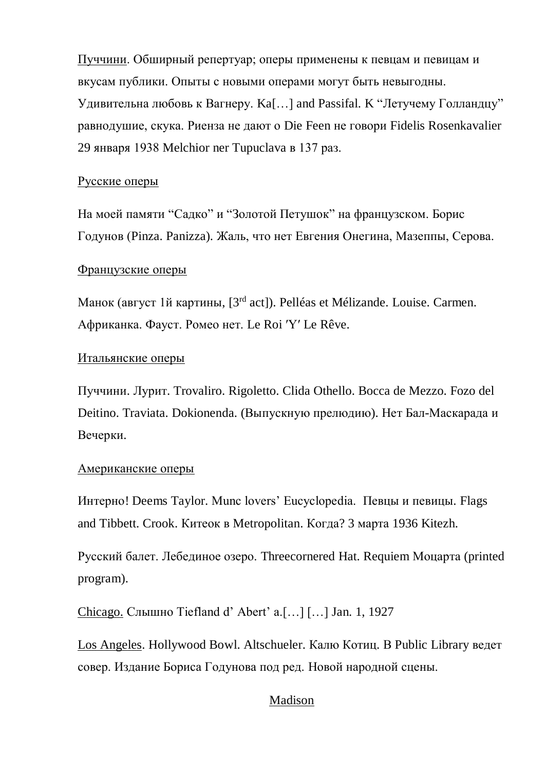Пуччини. Обширный репертуар; оперы применены к певцам и певицам и вкусам публики. Опыты с новыми операми могут быть невыгодны. Удивительна любовь к Вагнеру. Ka[…] and Passifal. K "Летучему Голландцу" равнодушие, скука. Риенза не дают о Die Feen не говори Fidelis Rosenkavalier 29 января 1938 Melchior ner Tupuclava в 137 раз.

## Русские оперы

На моей памяти "Садко" и "Золотой Петушок" на французском. Борис Годунов (Pinza. Panizza). Жаль, что нет Евгения Онегина, Мазеппы, Серова.

# Французские оперы

Манок (август 1й картины, [3rd act]). Pelléas et Mélizande. Louise. Carmen. Африканка. Фауст. Ромео нет. Le Roi ʹYʹ Le Rêve.

# Итальянские оперы

Пуччини. Лурит. Trovaliro. Rigoletto. Clida Othello. Bocca de Mezzo. Fozo del Deitino. Traviata. Dokionenda. (Выпускную прелюдию). Нет Бал-Маскарада и Вечерки.

### Американские оперы

Интерно! Deems Taylor. Munc lovers' Eucyclopedia. Певцы и певицы. Flags and Tibbett. Crook. Китеок в Metropolitan. Когда? 3 марта 1936 Kitezh.

Русский балет. Лебединое озеро. Threecornered Hat. Requiem Моцарта (printed program).

Chicago. Слышно Tiefland d' Abert' a.[…] […] Jan. 1, 1927

Los Angeles. Hollywood Bowl. Altschueler. Калю Котиц. В Public Library ведет совер. Издание Бориса Годунова под ред. Новой народной сцены.

# Madison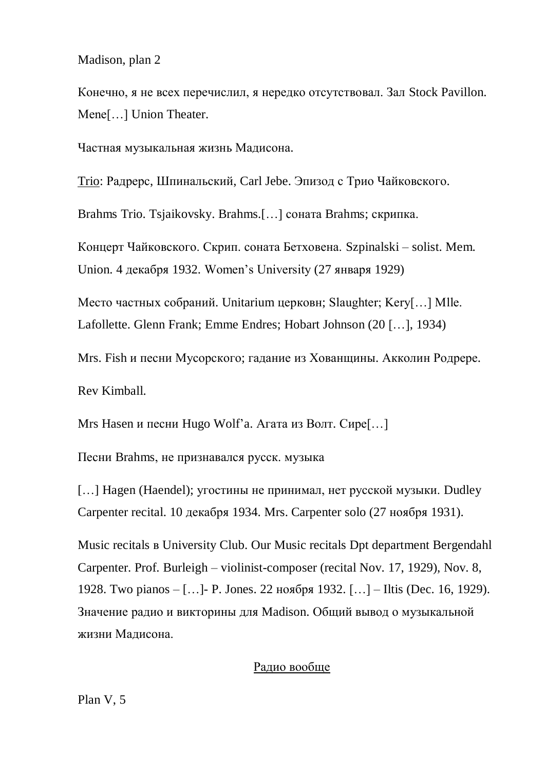Madison, plan 2

Конечно, я не всех перечислил, я нередко отсутствовал. Зал Stock Pavillon. Mene[…] Union Theater.

Частная музыкальная жизнь Мадисона.

Trio: Радрерс, Шпинальский, Carl Jebe. Эпизод с Трио Чайковского.

Brahms Trio. Tsjaikovsky. Brahms.[…] соната Brahms; скрипка.

Концерт Чайковского. Скрип. соната Бетховена. Szpinalski – solist. Mem. Union. 4 декабря 1932. Women's University (27 января 1929)

Место частных собраний. Unitarium церковн; Slaughter; Kery[…] Mlle. Lafollette. Glenn Frank; Emme Endres; Hobart Johnson (20 […], 1934)

Mrs. Fish и песни Мусорского; гадание из Хованщины. Акколин Родрере.

Rev Kimball.

Mrs Hasen и песни Hugo Wolf'a. Агата из Волт. Сире[…]

Песни Brahms, не признавался русск. музыка

[...] Hagen (Haendel); угостины не принимал, нет русской музыки. Dudley Carpenter recital. 10 декабря 1934. Mrs. Carpenter solo (27 ноября 1931).

Music recitals в University Club. Our Music recitals Dpt department Bergendahl Carpenter. Prof. Burleigh – violinist-composer (recital Nov. 17, 1929), Nov. 8, 1928. Two pianos – […]- P. Jones. 22 ноября 1932. […] – Iltis (Dec. 16, 1929). Значение радио и викторины для Madison. Общий вывод о музыкальной жизни Мадисона.

# Радио вообще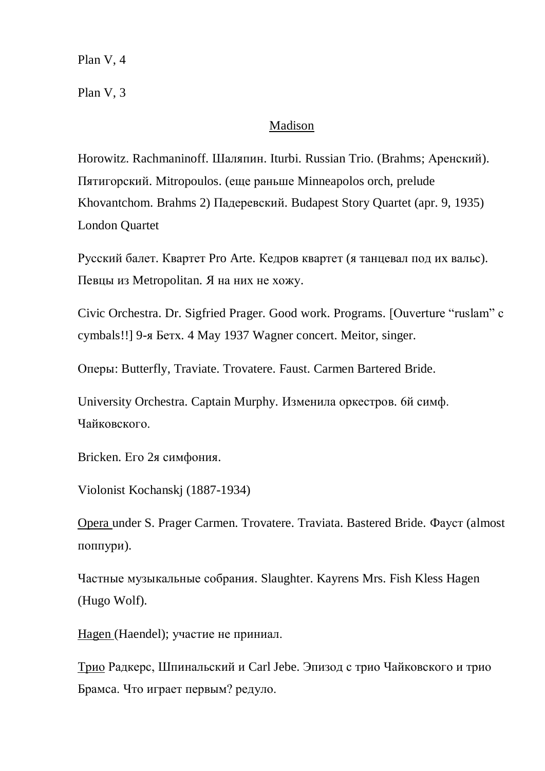Plan V, 4

Plan V, 3

## Madison

Horowitz. Rachmaninoff. Шаляпин. Iturbi. Russian Trio. (Brahms; Аренский). Пятигорский. Mitropoulos. (еще раньше Minneapolos orch, prelude Khovantchom. Brahms 2) Падеревский. Budapest Story Quartet (apr. 9, 1935) London Quartet

Русский балет. Квартет Pro Arte. Кедров квартет (я танцевал под их вальс). Певцы из Metropolitan. Я на них не хожу.

Civic Orchestra. Dr. Sigfried Prager. Good work. Programs. [Ouverture "ruslam" c cymbals!!] 9-я Бетх. 4 May 1937 Wagner concert. Meitor, singer.

Оперы: Butterfly, Traviate. Trovatere. Faust. Carmen Bartered Bride.

University Orchestra. Captain Murphy. Изменила оркестров. 6й симф. Чайковского.

Bricken. Его 2я симфония.

Violonist Kochanskj (1887-1934)

Opera under S. Prager Carmen. Trovatere. Traviata. Bastered Bride. Фауст (almost поппури).

Частные музыкальные собрания. Slaughter. Kayrens Mrs. Fish Kless Hagen (Hugo Wolf).

Hagen (Haendel); участие не приниал.

Трио Радкерс, Шпинальский и Carl Jebe. Эпизод с трио Чайковского и трио Брамсa. Что играет первым? редуло.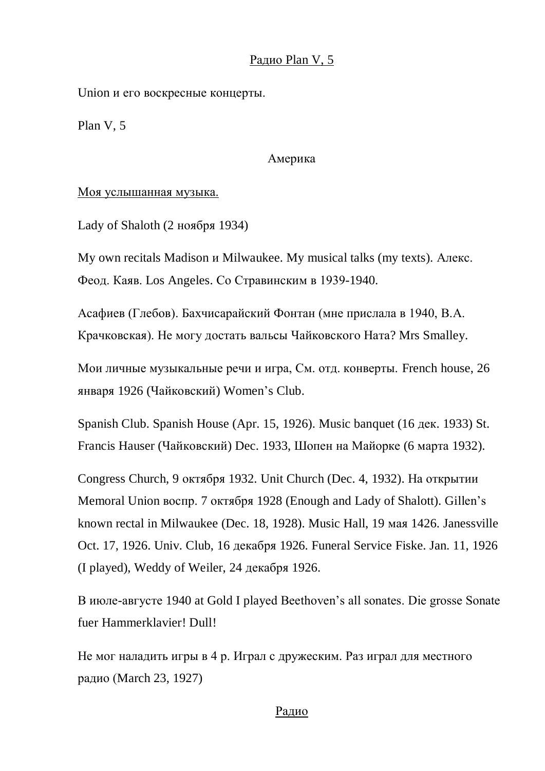# Радио Plan V, 5

Union и его воскресные концерты.

Plan V, 5

Америка

Моя услышанная музыка.

Lady of Shaloth (2 ноября 1934)

My own recitals Madison и Milwaukee. My musical talks (my texts). Алекс. Феод. Каяв. Los Angeles. Со Стравинским в 1939-1940.

Асафиев (Глебов). Бахчисарайский Фонтан (мне прислала в 1940, В.А. Крачковская). Не могу достать вальсы Чайковского Ната? Mrs Smalley.

Мои личные музыкальные речи и игра, См. отд. конверты. French house, 26 января 1926 (Чайковский) Women's Club.

Spanish Club. Spanish House (Apr. 15, 1926). Music banquet (16 дек. 1933) St. Francis Hauser (Чайковский) Dec. 1933, Шопен на Майорке (6 марта 1932).

Congress Church, 9 октября 1932. Unit Church (Dec. 4, 1932). На открытии Memoral Union воспр. 7 октября 1928 (Enough and Lady of Shalott). Gillen's known rectal in Milwaukee (Dec. 18, 1928). Music Hall, 19 мая 1426. Janessville Oct. 17, 1926. Univ. Club, 16 декабря 1926. Funeral Service Fiske. Jan. 11, 1926 (I played), Weddy of Weiler, 24 декабря 1926.

В июле-августе 1940 at Gold I played Beethoven's all sonates. Die grosse Sonate fuer Hammerklavier! Dull!

Не мог наладить игры в 4 р. Играл с дружеским. Раз играл для местного радио (March 23, 1927)

### Радио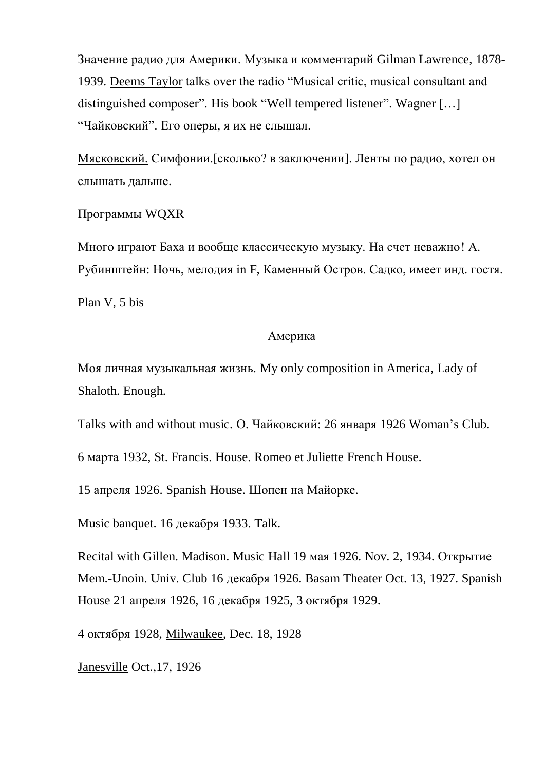Значение радио для Америки. Музыка и комментарий Gilman Lawrence, 1878- 1939. Deems Taylor talks over the radio "Musical critic, musical consultant and distinguished composer". His book "Well tempered listener". Wagner […] "Чайковский". Его оперы, я их не слышал.

Мясковский. Симфонии.[сколько? в заключении]. Ленты по радио, хотел он слышать дальше.

Программы WQXR

Много играют Баха и вообще классическую музыку. На счет неважно! А. Рубинштейн: Ночь, мелодия in F, Каменный Остров. Садко, имеет инд. гостя.

Plan V, 5 bis

# Америка

Моя личная музыкальная жизнь. My only composition in America, Lady of Shaloth. Enough.

Talks with and without music. О. Чайковский: 26 января 1926 Woman's Club.

6 марта 1932, St. Francis. House. Romeo et Juliette French House.

15 апреля 1926. Spanish House. Шопен на Майорке.

Music banquet. 16 декабря 1933. Talk.

Recital with Gillen. Madison. Music Hall 19 мая 1926. Nov. 2, 1934. Открытие Mem.-Unoin. Univ. Club 16 декабря 1926. Basam Theater Oct. 13, 1927. Spanish House 21 апреля 1926, 16 декабря 1925, 3 октября 1929.

4 октября 1928, Milwaukee, Dec. 18, 1928

Janesville Oct.,17, 1926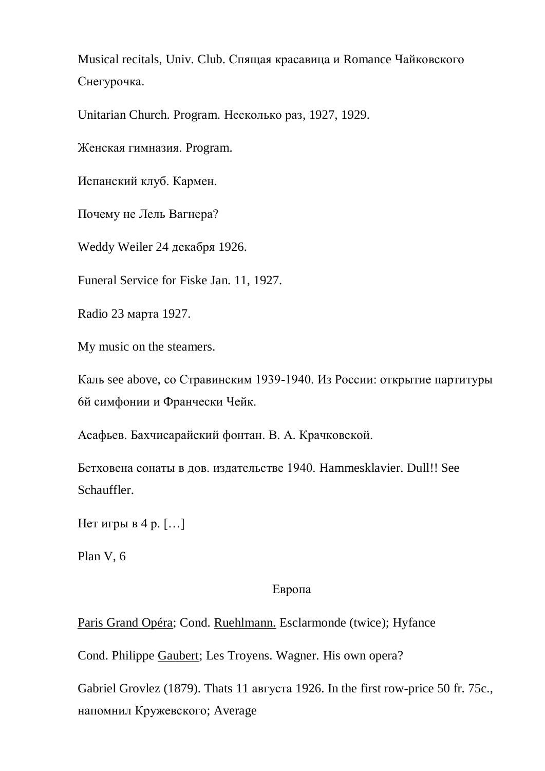Musical recitals, Univ. Club. Спящая красавица и Romance Чайковского Снегурочка.

Unitarian Church. Program. Несколько раз, 1927, 1929.

Женская гимназия. Program.

Испанский клуб. Кармен.

Почему не Лель Вагнера?

Weddy Weiler 24 декабря 1926.

Funeral Service for Fiske Jan. 11, 1927.

Radio 23 марта 1927.

My music on the steamers.

Каль see above, со Стравинским 1939-1940. Из России: открытие партитуры 6й симфонии и Франчески Чейк.

Асафьев. Бахчисарайский фонтан. В. А. Крачковской.

Бетховена сонаты в дов. издательстве 1940. Hammesklavier. Dull!! See Schauffler.

Нет игры в 4 р. […]

Plan V, 6

### Европа

Paris Grand Opéra; Cond. Ruehlmann. Esclarmonde (twice); Hyfance

Cond. Philippe Gaubert; Les Troyens. Wagner. His own opera?

Gabriel Grovlez (1879). Thats 11 августа 1926. In the first row-price 50 fr. 75c., напомнил Кружевского; Average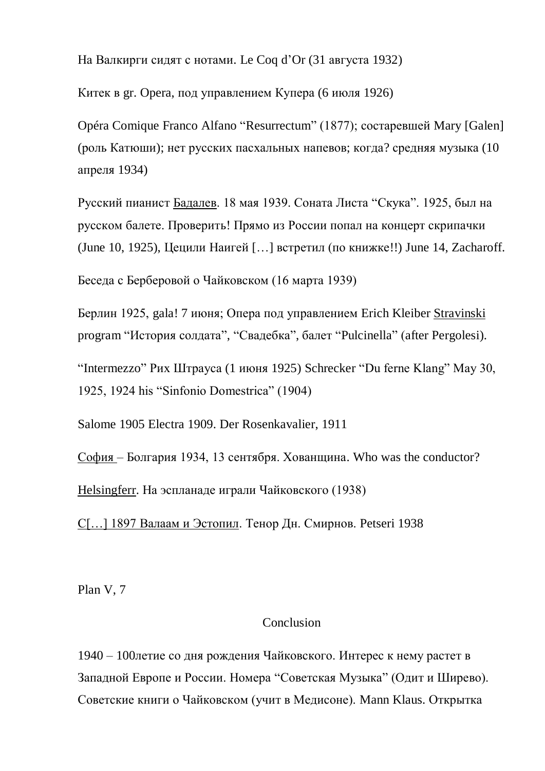На Валкирги сидят с нотами. Le Coq d'Or (31 августа 1932)

Китек в gr. Opera, под управлением Купера (6 июля 1926)

Opéra Comique Franco Alfano "Resurrectum" (1877); состаревшей Mary [Galen] (роль Катюши); нет русских пасхальных напевов; когда? средняя музыка (10 апреля 1934)

Русский пианист Бадалев. 18 мая 1939. Соната Листа "Скука". 1925, был на русском балете. Проверить! Прямо из России попал на концерт скрипачки (June 10, 1925), Цецили Наигей […] встретил (по книжке!!) June 14, Zacharoff.

Беседа с Берберовой о Чайковском (16 марта 1939)

Берлин 1925, gala! 7 июня; Опера под управлением Erich Kleiber Stravinski program "История солдата", "Свадебка", балет "Pulcinella" (after Pergolesi).

"Intermezzo" Рих Штрауса (1 июня 1925) Schrecker "Du ferne Klang" May 30, 1925, 1924 his "Sinfonio Domestrica" (1904)

Salome 1905 Electra 1909. Der Rosenkavalier, 1911

София – Болгария 1934, 13 сентября. Хованщина. Who was the conductor? Helsingferr. На эспланаде играли Чайковского (1938)

С[…] 1897 Валаам и Эстопил. Тенор Дн. Смирнов. Petseri 1938

Plan V, 7

### Conclusion

1940 – 100летие со дня рождения Чайковского. Интерес к нему растет в Западной Европе и России. Номера "Советская Музыка" (Одит и Ширево). Советские книги о Чайковском (учит в Медисоне). Mann Klaus. Открытка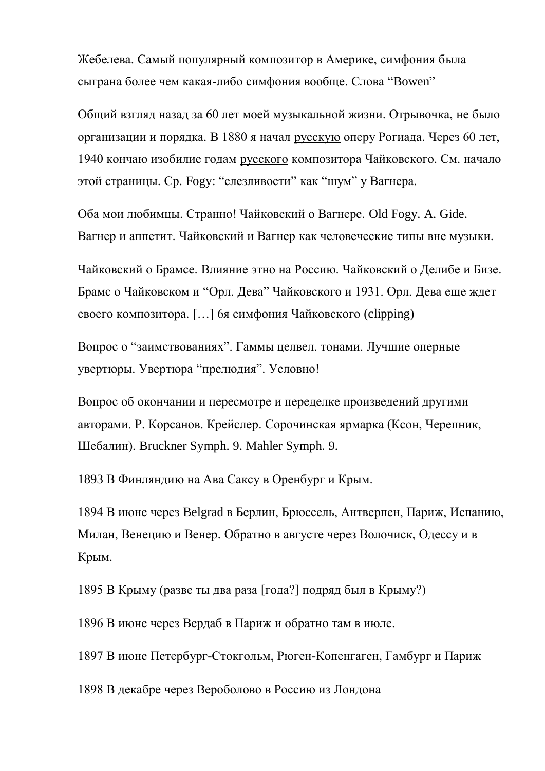Жебелева. Самый популярный композитор в Америке, симфония была сыграна более чем какая-либо симфония вообще. Слова "Bowen"

Общий взгляд назад за 60 лет моей музыкальной жизни. Отрывочка, не было организации и порядка. В 1880 я начал русскую оперу Рогиада. Через 60 лет, 1940 кончаю изобилие годам русского композитора Чайковского. См. начало этой страницы. Ср. Fogy: "слезливости" как "шум" у Вагнера.

Оба мои любимцы. Странно! Чайковский о Вагнере. Old Fogy. A. Gide. Вагнер и аппетит. Чайковский и Вагнер как человеческие типы вне музыки.

Чайковский о Брамсе. Влияние этно на Россию. Чайковский о Делибе и Бизе. Брамс о Чайковском и "Орл. Дева" Чайковского и 1931. Орл. Дева еще ждет своего композитора. […] 6я симфония Чайковского (clipping)

Вопрос о "заимствованиях". Гаммы целвел. тонами. Лучшие оперные увертюры. Увертюра "прелюдия". Условно!

Вопрос об окончании и пересмотре и переделке произведений другими авторами. Р. Корсанов. Крейслер. Сорочинская ярмарка (Ксон, Черепник, Шебалин). Bruckner Symph. 9. Mahler Symph. 9.

1893 В Финляндию на Ава Саксу в Оренбург и Крым.

1894 В июне через Belgrad в Берлин, Брюссель, Антверпен, Париж, Испанию, Милан, Венецию и Венер. Обратно в августе через Волочиск, Одессу и в Крым.

1895 В Крыму (разве ты два раза [года?] подряд был в Крыму?)

1896 В июне через Вердаб в Париж и обратно там в июле.

1897 В июне Петербург-Стокгольм, Рюген-Копенгаген, Гамбург и Париж

1898 В декабре через Вероболово в Россию из Лондона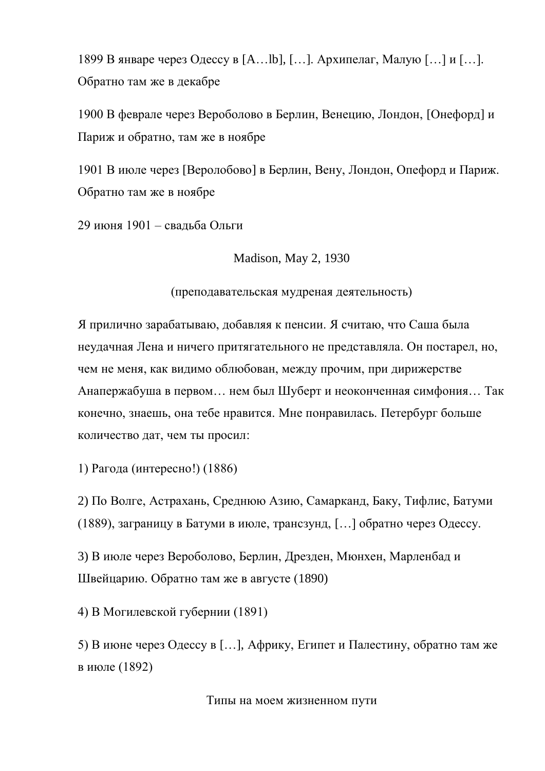1899 В январе через Одессу в [A…lb], […]. Архипелаг, Малую […] и […]. Обратно там же в декабре

1900 В феврале через Вероболово в Берлин, Венецию, Лондон, [Онефорд] и Париж и обратно, там же в ноябре

1901 В июле через [Веролобово] в Берлин, Вену, Лондон, Опефорд и Париж. Обратно там же в ноябре

29 июня 1901 – свадьба Ольги

Madison, May 2, 1930

(преподавательская мудреная деятельность)

Я прилично зарабатываю, добавляя к пенсии. Я считаю, что Саша была неудачная Лена и ничего притягательного не представляла. Он постарел, но, чем не меня, как видимо облюбован, между прочим, при дирижерстве Анапержабуша в первом… нем был Шуберт и неоконченная симфония… Так конечно, знаешь, она тебе нравится. Мне понравилась. Петербург больше количество дат, чем ты просил:

1) Рагода (интересно!) (1886)

2) По Волге, Астрахань, Среднюю Азию, Самарканд, Баку, Тифлис, Батуми (1889), заграницу в Батуми в июле, трансзунд, […] обратно через Одессу.

3) В июле через Вероболово, Берлин, Дрезден, Мюнхен, Марленбад и Швейцарию. Обратно там же в августе (1890)

4) В Могилевской губернии (1891)

5) В июне через Одессу в […], Африку, Египет и Палестину, обратно там же в июле (1892)

Типы на моем жизненном пути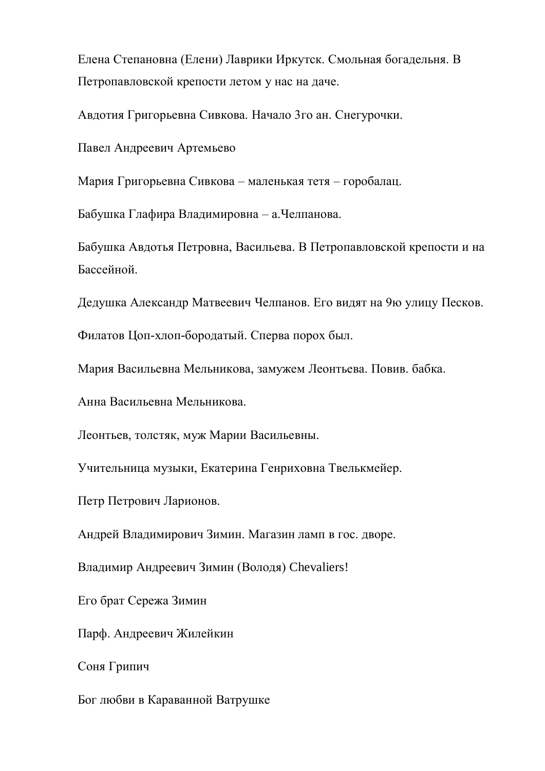Елена Степановна (Елени) Лаврики Иркутск. Смольная богадельня. В Петропавловской крепости летом у нас на даче.

Авдотия Григорьевна Сивкова. Начало 3го ан. Снегурочки.

Павел Андреевич Артемьево

Мария Григорьевна Сивкова – маленькая тетя – горобалац.

Бабушка Глафира Владимировна – а.Челпанова.

Бабушка Авдотья Петровна, Васильева. В Петропавловской крепости и на Бассейной.

Дедушка Александр Матвеевич Челпанов. Его видят на 9ю улицу Песков.

Филатов Цоп-хлоп-бородатый. Сперва порох был.

Мария Васильевна Мельникова, замужем Леонтьева. Повив. бабка.

Анна Васильевна Мельникова.

Леонтьев, толстяк, муж Марии Васильевны.

Учительница музыки, Екатерина Генриховна Твелькмейер.

Петр Петрович Ларионов.

Андрей Владимирович Зимин. Магазин ламп в гос. дворе.

Владимир Андреевич Зимин (Володя) Chevaliers!

Его брат Сережа Зимин

Парф. Андреевич Жилейкин

Соня Грипич

Бог любви в Караванной Ватрушке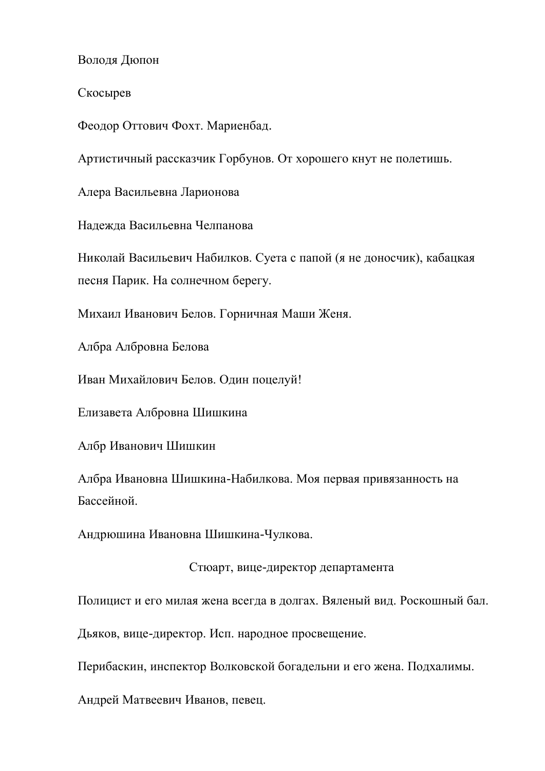Володя Дюпон

Скосырев

Феодор Оттович Фохт. Мариенбад.

Артистичный рассказчик Горбунов. От хорошего кнут не полетишь.

Алера Васильевна Ларионова

Надежда Васильевна Челпанова

Николай Васильевич Набилков. Суета с папой (я не доносчик), кабацкая песня Парик. На солнечном берегу.

Михаил Иванович Белов. Горничная Маши Женя.

Албра Албровна Белова

Иван Михайлович Белов. Один поцелуй!

Елизавета Албровна Шишкина

Албр Иванович Шишкин

Албра Ивановна Шишкина-Набилкова. Моя первая привязанность на Бассейной.

Андрюшина Ивановна Шишкина-Чулкова.

Стюарт, вице-директор департамента

Полицист и его милая жена всегда в долгах. Вяленый вид. Роскошный бал.

Дьяков, вице-директор. Исп. народное просвещение.

Перибаскин, инспектор Волковской богадельни и его жена. Подхалимы.

Андрей Матвеевич Иванов, певец.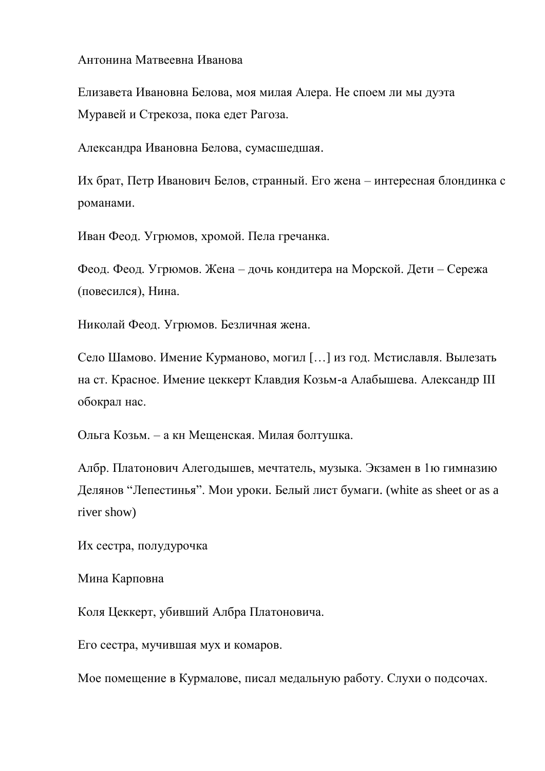### Антонина Матвеевна Иванова

Елизавета Ивановна Белова, моя милая Алера. Не споем ли мы дуэта Муравей и Стрекоза, пока едет Рагоза.

Александра Ивановна Белова, сумасшедшая.

Их брат, Петр Иванович Белов, странный. Его жена – интересная блондинка с романами.

Иван Феод. Угрюмов, хромой. Пела гречанка.

Феод. Феод. Угрюмов. Жена – дочь кондитера на Морской. Дети – Сережа (повесился), Нина.

Николай Феод. Угрюмов. Безличная жена.

Село Шамово. Имение Курманово, могил […] из год. Мстиславля. Вылезать на ст. Красное. Имение цеккерт Клавдия Козьм-а Алабышева. Александр III обокрал нас.

Ольга Козьм. – а кн Мещенская. Милая болтушка.

Албр. Платонович Алегодышев, мечтатель, музыка. Экзамен в 1ю гимназию Делянов "Лепестинья". Мои уроки. Белый лист бумаги. (white as sheet or as a river show)

Их сестра, полудурочка

Мина Карповна

Коля Цеккерт, убивший Албра Платоновича.

Его сестра, мучившая мух и комаров.

Мое помещение в Курмалове, писал медальную работу. Слухи о подсочах.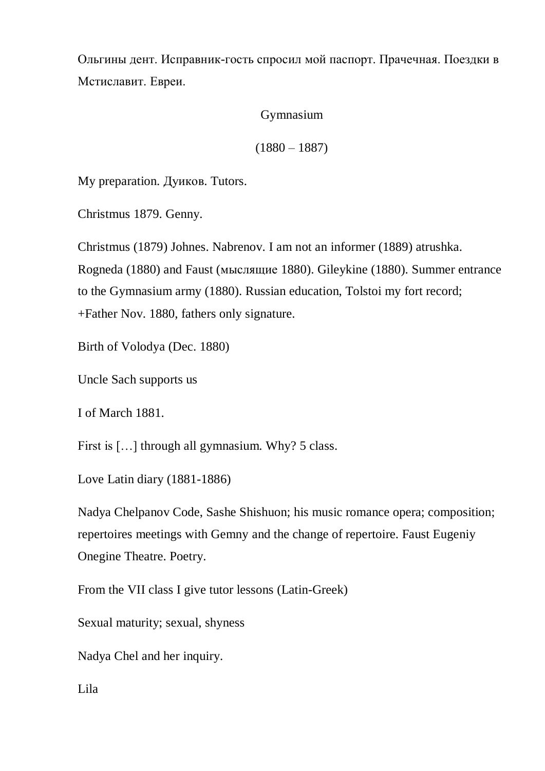Ольгины дент. Исправник-гость спросил мой паспорт. Прачечная. Поездки в Мстиславит. Евреи.

# Gymnasium

# $(1880 - 1887)$

My preparation. Дуиков. Tutors.

Christmus 1879. Genny.

Christmus (1879) Johnes. Nabrenov. I am not an informer (1889) atrushka. Rogneda (1880) and Faust (мыслящие 1880). Gileykine (1880). Summer entrance to the Gymnasium army (1880). Russian education, Tolstoi my fort record; +Father Nov. 1880, fathers only signature.

Birth of Volodya (Dec. 1880)

Uncle Sach supports us

I of March 1881.

First is [...] through all gymnasium. Why? 5 class.

Love Latin diary (1881-1886)

Nadya Chelpanov Code, Sashe Shishuon; his music romance opera; composition; repertoires meetings with Gemny and the change of repertoire. Faust Eugeniy Onegine Theatre. Poetry.

From the VII class I give tutor lessons (Latin-Greek)

Sexual maturity; sexual, shyness

Nadya Chel and her inquiry.

Lila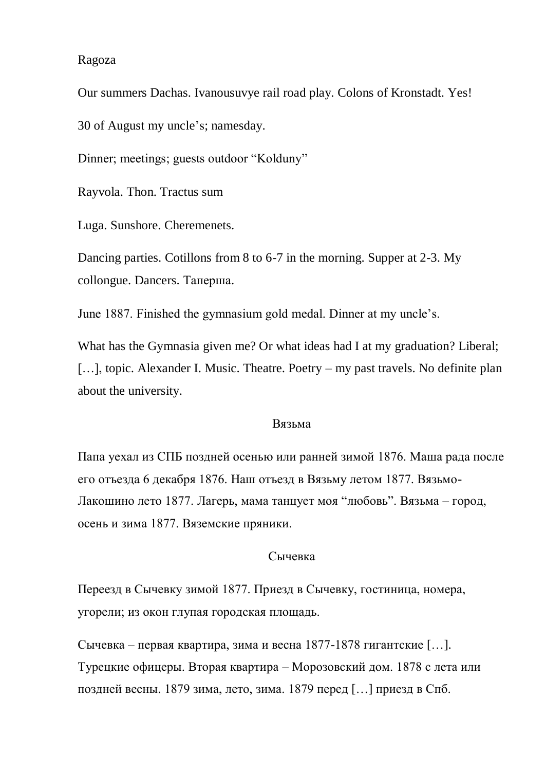#### Ragoza

Our summers Dachas. Ivanousuvye rail road play. Colons of Kronstadt. Yes! 30 of August my uncle's; namesday.

Dinner; meetings; guests outdoor "Kolduny"

Rayvola. Thon. Tractus sum

Luga. Sunshore. Cheremenets.

Dancing parties. Cotillons from 8 to 6-7 in the morning. Supper at 2-3. My collongue. Dancers. Таперша.

June 1887. Finished the gymnasium gold medal. Dinner at my uncle's.

What has the Gymnasia given me? Or what ideas had I at my graduation? Liberal; [...], topic. Alexander I. Music. Theatre. Poetry – my past travels. No definite plan about the university.

#### Вязьма

Папа уехал из СПБ поздней осенью или ранней зимой 1876. Маша рада после его отъезда 6 декабря 1876. Наш отъезд в Вязьму летом 1877. Вязьмо-Лакошино лето 1877. Лагерь, мама танцует моя "любовь". Вязьма – город, осень и зима 1877. Вяземские пряники.

#### Сычевка

Переезд в Сычевку зимой 1877. Приезд в Сычевку, гостиница, номера, угорели; из окон глупая городская площадь.

Сычевка – первая квартира, зима и весна 1877-1878 гигантские […]. Турецкие офицеры. Вторая квартира – Морозовский дом. 1878 с лета или поздней весны. 1879 зима, лето, зима. 1879 перед […] приезд в Спб.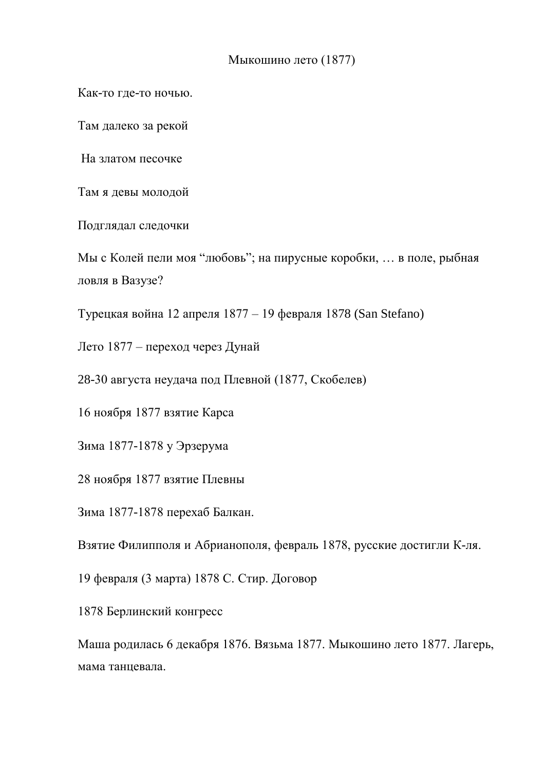# Мыкошино лето (1877)

Как-то где-то ночью.

Там далеко за рекой

На златом песочке

Там я девы молодой

Подглядал следочки

Мы с Колей пели моя "любовь"; на пирусные коробки, … в поле, рыбная ловля в Вазузе?

Турецкая война 12 апреля 1877 – 19 февраля 1878 (San Stefano)

Лето 1877 – переход через Дунай

28-30 августа неудача под Плевной (1877, Скобелев)

16 ноября 1877 взятие Карса

Зима 1877-1878 у Эрзерума

28 ноября 1877 взятие Плевны

Зима 1877-1878 перехаб Балкан.

Взятие Филипполя и Абрианополя, февраль 1878, русские достигли К-ля.

19 февраля (3 марта) 1878 С. Стир. Договор

1878 Берлинский конгресс

Маша родилась 6 декабря 1876. Вязьма 1877. Мыкошино лето 1877. Лагерь, мама танцевала.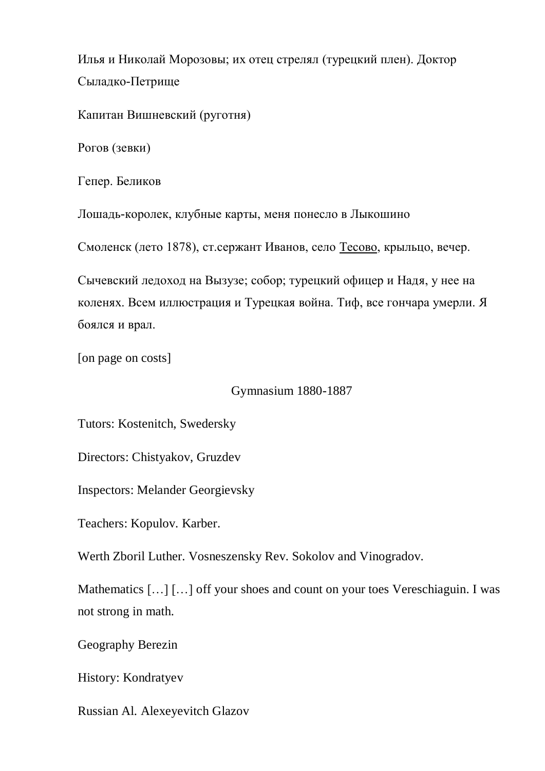Илья и Николай Морозовы; их отец стрелял (турецкий плен). Доктор Сыладко-Петрище

Капитан Вишневский (руготня)

Рогов (зевки)

Гепер. Беликов

Лошадь-королек, клубные карты, меня понесло в Лыкошино

Смоленск (лето 1878), ст.сержант Иванов, село Тесово, крыльцо, вечер.

Сычевский ледоход на Вызузе; собор; турецкий офицер и Надя, у нее на коленях. Всем иллюстрация и Турецкая война. Тиф, все гончара умерли. Я боялся и врал.

[on page on costs]

Gymnasium 1880-1887

Tutors: Kostenitch, Swedersky

Directors: Chistyakov, Gruzdev

Inspectors: Melander Georgievsky

Teachers: Kopulov. Karber.

Werth Zboril Luther. Vosneszensky Rev. Sokolov and Vinogradov.

Mathematics [...] [...] off your shoes and count on your toes Vereschiaguin. I was not strong in math.

Geography Berezin

History: Kondratyev

Russian Al. Alexeyevitch Glazov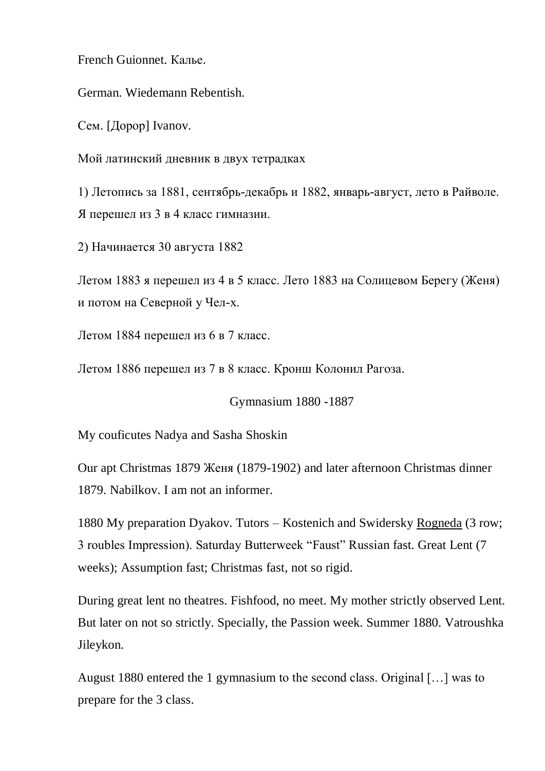French Guionnet. Калье.

German. Wiedemann Rebentish.

Сем. [Дорор] Ivanov.

Мой латинский дневник в двух тетрадках

1) Летопись за 1881, сентябрь-декабрь и 1882, январь-август, лето в Райволе. Я перешел из 3 в 4 класс гимназии.

2) Начинается 30 августа 1882

Летом 1883 я перешел из 4 в 5 класс. Лето 1883 на Солицевом Берегу (Женя) и потом на Северной у Чел-х.

Летом 1884 перешел из 6 в 7 класс.

Летом 1886 перешел из 7 в 8 класс. Кронш Колонил Рагоза.

Gymnasium 1880 -1887

My couficutes Nadya and Sasha Shoskin

Our apt Christmas 1879 Женя (1879-1902) and later afternoon Christmas dinner 1879. Nabilkov. I am not an informer.

1880 My preparation Dyakov. Tutors – Kostenich and Swidersky Rogneda (3 row; 3 roubles Impression). Saturday Butterweek "Faust" Russian fast. Great Lent (7 weeks); Assumption fast; Christmas fast, not so rigid.

During great lent no theatres. Fishfood, no meet. My mother strictly observed Lent. But later on not so strictly. Specially, the Passion week. Summer 1880. Vatroushka Jileykon.

August 1880 entered the 1 gymnasium to the second class. Original […] was to prepare for the 3 class.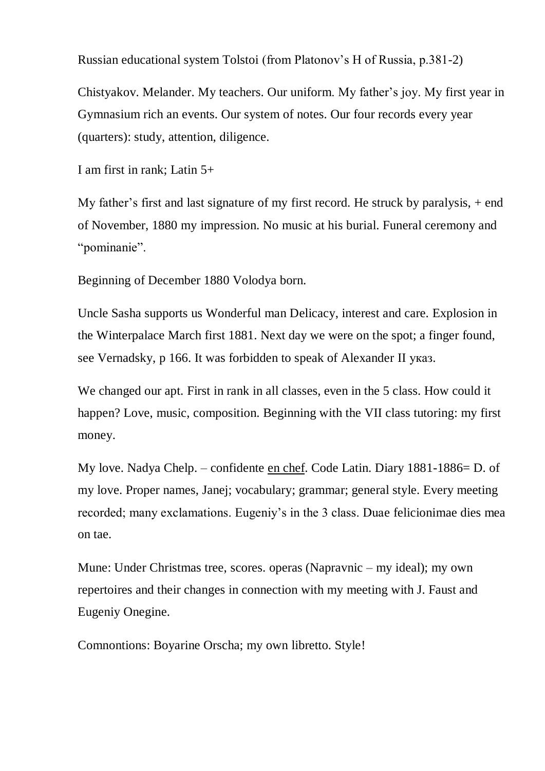Russian educational system Tolstoi (from Platonov's H of Russia, p.381-2)

Chistyakov. Melander. My teachers. Our uniform. My father's joy. My first year in Gymnasium rich an events. Our system of notes. Our four records every year (quarters): study, attention, diligence.

I am first in rank; Latin 5+

My father's first and last signature of my first record. He struck by paralysis, + end of November, 1880 my impression. No music at his burial. Funeral ceremony and "pominanie".

Beginning of December 1880 Volodya born.

Uncle Sasha supports us Wonderful man Delicacy, interest and care. Explosion in the Winterpalace March first 1881. Next day we were on the spot; a finger found, see Vernadsky, p 166. It was forbidden to speak of Alexander II указ.

We changed our apt. First in rank in all classes, even in the 5 class. How could it happen? Love, music, composition. Beginning with the VII class tutoring: my first money.

My love. Nadya Chelp. – confidente en chef. Code Latin. Diary 1881-1886= D. of my love. Proper names, Janej; vocabulary; grammar; general style. Every meeting recorded; many exclamations. Eugeniy's in the 3 class. Duae felicionimae dies mea on tae.

Mune: Under Christmas tree, scores. operas (Napravnic – my ideal); my own repertoires and their changes in connection with my meeting with J. Faust and Eugeniy Onegine.

Comnontions: Boyarine Orscha; my own libretto. Style!